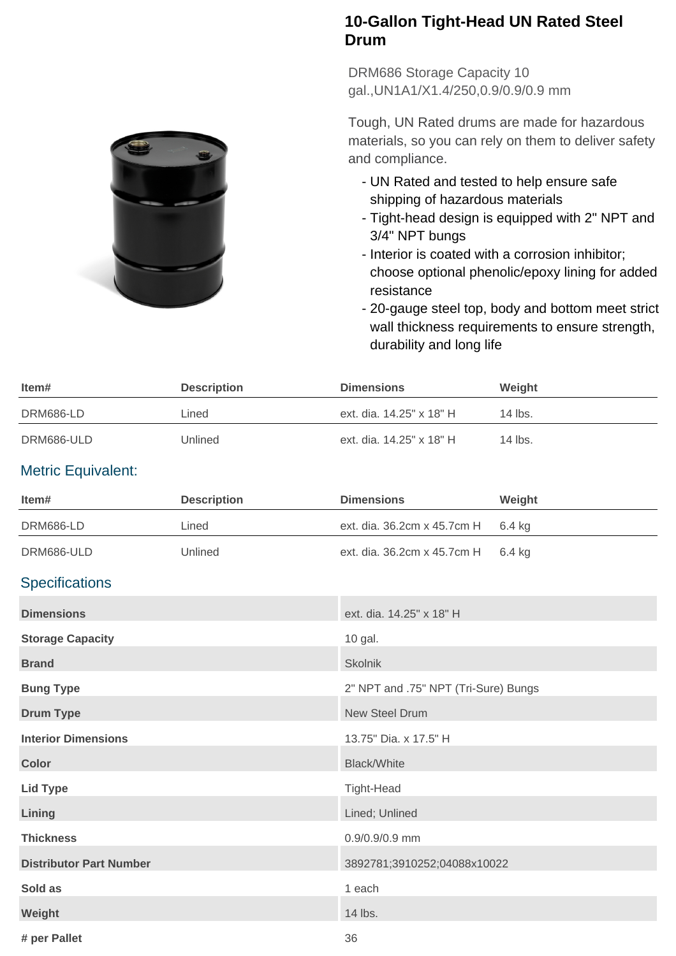## **10-Gallon Tight-Head UN Rated Steel Drum**

DRM686 Storage Capacity 10 gal.,UN1A1/X1.4/250,0.9/0.9/0.9 mm

Tough, UN Rated drums are made for hazardous materials, so you can rely on them to deliver safety and compliance.

- UN Rated and tested to help ensure safe shipping of hazardous materials
- Tight-head design is equipped with 2" NPT and 3/4" NPT bungs
- Interior is coated with a corrosion inhibitor; choose optional phenolic/epoxy lining for added resistance
- 20-gauge steel top, body and bottom meet strict wall thickness requirements to ensure strength, durability and long life

| ltem#      | <b>Description</b> | <b>Dimensions</b>        | Weight  |
|------------|--------------------|--------------------------|---------|
| DRM686-LD  | Lined              | ext. dia. 14.25" x 18" H | 14 lbs. |
| DRM686-ULD | Unlined            | ext. dia. 14.25" x 18" H | 14 lbs. |

## Metric Equivalent:

| Item#                          | <b>Description</b> | <b>Dimensions</b>                    | Weight |
|--------------------------------|--------------------|--------------------------------------|--------|
| DRM686-LD                      | Lined              | ext. dia. 36.2cm x 45.7cm H          | 6.4 kg |
| DRM686-ULD                     | Unlined            | ext. dia. 36.2cm x 45.7cm H          | 6.4 kg |
| <b>Specifications</b>          |                    |                                      |        |
| <b>Dimensions</b>              |                    | ext. dia. 14.25" x 18" H             |        |
| <b>Storage Capacity</b>        |                    | 10 gal.                              |        |
| <b>Brand</b>                   |                    | <b>Skolnik</b>                       |        |
| <b>Bung Type</b>               |                    | 2" NPT and .75" NPT (Tri-Sure) Bungs |        |
| <b>Drum Type</b>               |                    | <b>New Steel Drum</b>                |        |
| <b>Interior Dimensions</b>     |                    | 13.75" Dia. x 17.5" H                |        |
| <b>Color</b>                   |                    | <b>Black/White</b>                   |        |
| <b>Lid Type</b>                |                    | <b>Tight-Head</b>                    |        |
| Lining                         |                    | Lined; Unlined                       |        |
| <b>Thickness</b>               |                    | 0.9/0.9/0.9 mm                       |        |
| <b>Distributor Part Number</b> |                    | 3892781;3910252;04088x10022          |        |
| Sold as                        |                    | 1 each                               |        |
| Weight                         |                    | 14 lbs.                              |        |
| # per Pallet                   |                    | 36                                   |        |